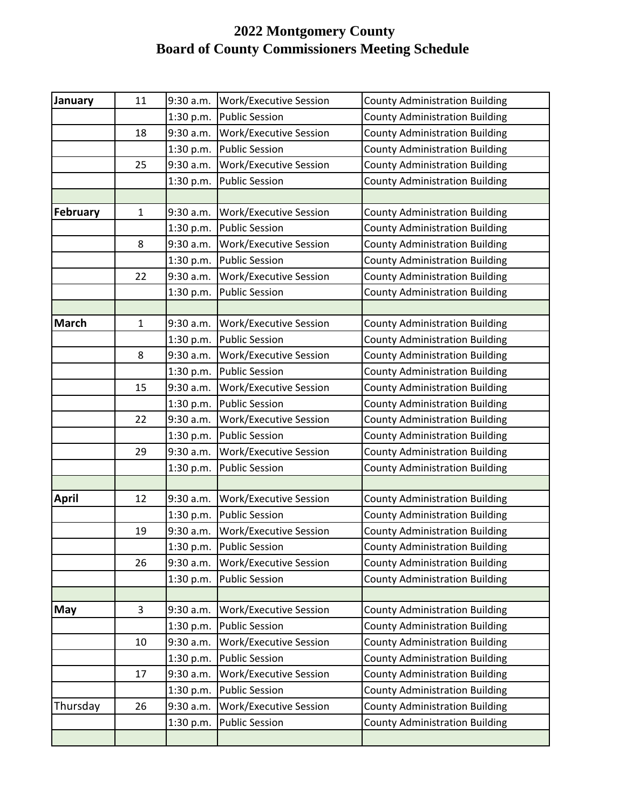## **2022 Montgomery County Board of County Commissioners Meeting Schedule**

| January      | 11           | 9:30 a.m. | Work/Executive Session        | <b>County Administration Building</b> |
|--------------|--------------|-----------|-------------------------------|---------------------------------------|
|              |              | 1:30 p.m. | <b>Public Session</b>         | <b>County Administration Building</b> |
|              | 18           | 9:30 a.m. | Work/Executive Session        | <b>County Administration Building</b> |
|              |              | 1:30 p.m. | <b>Public Session</b>         | <b>County Administration Building</b> |
|              | 25           | 9:30 a.m. | Work/Executive Session        | <b>County Administration Building</b> |
|              |              | 1:30 p.m. | <b>Public Session</b>         | <b>County Administration Building</b> |
|              |              |           |                               |                                       |
| February     | $\mathbf{1}$ | 9:30 a.m. | <b>Work/Executive Session</b> | <b>County Administration Building</b> |
|              |              | 1:30 p.m. | <b>Public Session</b>         | <b>County Administration Building</b> |
|              | 8            | 9:30 a.m. | Work/Executive Session        | <b>County Administration Building</b> |
|              |              | 1:30 p.m. | <b>Public Session</b>         | <b>County Administration Building</b> |
|              | 22           | 9:30 a.m. | Work/Executive Session        | <b>County Administration Building</b> |
|              |              | 1:30 p.m. | <b>Public Session</b>         | <b>County Administration Building</b> |
|              |              |           |                               |                                       |
| <b>March</b> | $\mathbf{1}$ | 9:30 a.m. | Work/Executive Session        | <b>County Administration Building</b> |
|              |              | 1:30 p.m. | <b>Public Session</b>         | <b>County Administration Building</b> |
|              | 8            | 9:30 a.m. | Work/Executive Session        | <b>County Administration Building</b> |
|              |              | 1:30 p.m. | <b>Public Session</b>         | <b>County Administration Building</b> |
|              | 15           | 9:30 a.m. | Work/Executive Session        | <b>County Administration Building</b> |
|              |              | 1:30 p.m. | <b>Public Session</b>         | <b>County Administration Building</b> |
|              | 22           | 9:30 a.m. | Work/Executive Session        | <b>County Administration Building</b> |
|              |              | 1:30 p.m. | <b>Public Session</b>         | <b>County Administration Building</b> |
|              | 29           | 9:30 a.m. | Work/Executive Session        | <b>County Administration Building</b> |
|              |              | 1:30 p.m. | <b>Public Session</b>         | <b>County Administration Building</b> |
|              |              |           |                               |                                       |
| <b>April</b> | 12           | 9:30 a.m. | Work/Executive Session        | <b>County Administration Building</b> |
|              |              | 1:30 p.m. | <b>Public Session</b>         | <b>County Administration Building</b> |
|              | 19           | 9:30 a.m. | Work/Executive Session        | <b>County Administration Building</b> |
|              |              | 1:30 p.m. | <b>Public Session</b>         | <b>County Administration Building</b> |
|              | 26           | 9:30 a.m. | <b>Work/Executive Session</b> | <b>County Administration Building</b> |
|              |              | 1:30 p.m. | <b>Public Session</b>         | <b>County Administration Building</b> |
|              |              |           |                               |                                       |
| May          | 3            | 9:30 a.m. | Work/Executive Session        | <b>County Administration Building</b> |
|              |              | 1:30 p.m. | <b>Public Session</b>         | <b>County Administration Building</b> |
|              | 10           | 9:30 a.m. | <b>Work/Executive Session</b> | <b>County Administration Building</b> |
|              |              | 1:30 p.m. | <b>Public Session</b>         | <b>County Administration Building</b> |
|              | 17           | 9:30 a.m. | <b>Work/Executive Session</b> | <b>County Administration Building</b> |
|              |              | 1:30 p.m. | <b>Public Session</b>         | <b>County Administration Building</b> |
| Thursday     | 26           | 9:30 a.m. | Work/Executive Session        | <b>County Administration Building</b> |
|              |              | 1:30 p.m. | <b>Public Session</b>         | <b>County Administration Building</b> |
|              |              |           |                               |                                       |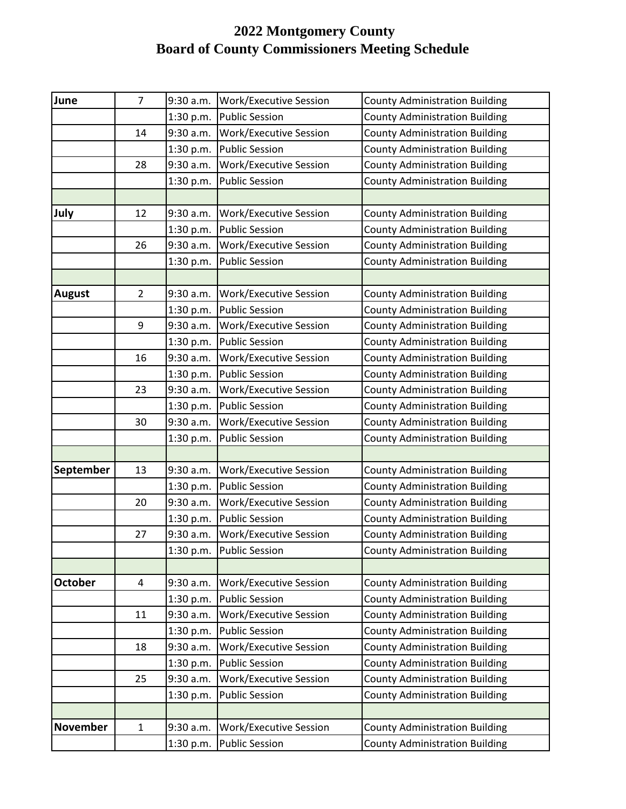## **2022 Montgomery County Board of County Commissioners Meeting Schedule**

| June            | $\overline{7}$ | 9:30 a.m. | Work/Executive Session        | <b>County Administration Building</b> |
|-----------------|----------------|-----------|-------------------------------|---------------------------------------|
|                 |                | 1:30 p.m. | <b>Public Session</b>         | <b>County Administration Building</b> |
|                 | 14             | 9:30 a.m. | Work/Executive Session        | <b>County Administration Building</b> |
|                 |                | 1:30 p.m. | <b>Public Session</b>         | <b>County Administration Building</b> |
|                 | 28             | 9:30 a.m. | Work/Executive Session        | <b>County Administration Building</b> |
|                 |                | 1:30 p.m. | <b>Public Session</b>         | <b>County Administration Building</b> |
|                 |                |           |                               |                                       |
| July            | 12             | 9:30 a.m. | Work/Executive Session        | <b>County Administration Building</b> |
|                 |                | 1:30 p.m. | <b>Public Session</b>         | <b>County Administration Building</b> |
|                 | 26             | 9:30 a.m. | <b>Work/Executive Session</b> | <b>County Administration Building</b> |
|                 |                | 1:30 p.m. | <b>Public Session</b>         | <b>County Administration Building</b> |
|                 |                |           |                               |                                       |
| <b>August</b>   | $\overline{2}$ | 9:30 a.m. | Work/Executive Session        | <b>County Administration Building</b> |
|                 |                | 1:30 p.m. | <b>Public Session</b>         | <b>County Administration Building</b> |
|                 | 9              | 9:30 a.m. | Work/Executive Session        | <b>County Administration Building</b> |
|                 |                | 1:30 p.m. | <b>Public Session</b>         | <b>County Administration Building</b> |
|                 | 16             | 9:30 a.m. | Work/Executive Session        | <b>County Administration Building</b> |
|                 |                | 1:30 p.m. | <b>Public Session</b>         | <b>County Administration Building</b> |
|                 | 23             | 9:30 a.m. | Work/Executive Session        | <b>County Administration Building</b> |
|                 |                | 1:30 p.m. | <b>Public Session</b>         | <b>County Administration Building</b> |
|                 | 30             | 9:30 a.m. | Work/Executive Session        | <b>County Administration Building</b> |
|                 |                | 1:30 p.m. | <b>Public Session</b>         | <b>County Administration Building</b> |
|                 |                |           |                               |                                       |
| September       | 13             | 9:30 a.m. | Work/Executive Session        | <b>County Administration Building</b> |
|                 |                | 1:30 p.m. | <b>Public Session</b>         | <b>County Administration Building</b> |
|                 | 20             | 9:30 a.m. | Work/Executive Session        | <b>County Administration Building</b> |
|                 |                | 1:30 p.m. | <b>Public Session</b>         | <b>County Administration Building</b> |
|                 | 27             | 9:30 a.m. | Work/Executive Session        | <b>County Administration Building</b> |
|                 |                | 1:30 p.m. | <b>Public Session</b>         | <b>County Administration Building</b> |
|                 |                |           |                               |                                       |
| <b>October</b>  | 4              | 9:30 a.m. | Work/Executive Session        | <b>County Administration Building</b> |
|                 |                | 1:30 p.m. | <b>Public Session</b>         | <b>County Administration Building</b> |
|                 | 11             | 9:30 a.m. | <b>Work/Executive Session</b> | <b>County Administration Building</b> |
|                 |                | 1:30 p.m. | <b>Public Session</b>         | <b>County Administration Building</b> |
|                 | 18             | 9:30 a.m. | Work/Executive Session        | <b>County Administration Building</b> |
|                 |                | 1:30 p.m. | <b>Public Session</b>         | <b>County Administration Building</b> |
|                 | 25             | 9:30 a.m. | Work/Executive Session        | <b>County Administration Building</b> |
|                 |                | 1:30 p.m. | <b>Public Session</b>         | <b>County Administration Building</b> |
|                 |                |           |                               |                                       |
| <b>November</b> | $\mathbf{1}$   | 9:30 a.m. | <b>Work/Executive Session</b> | <b>County Administration Building</b> |
|                 |                | 1:30 p.m. | <b>Public Session</b>         | <b>County Administration Building</b> |